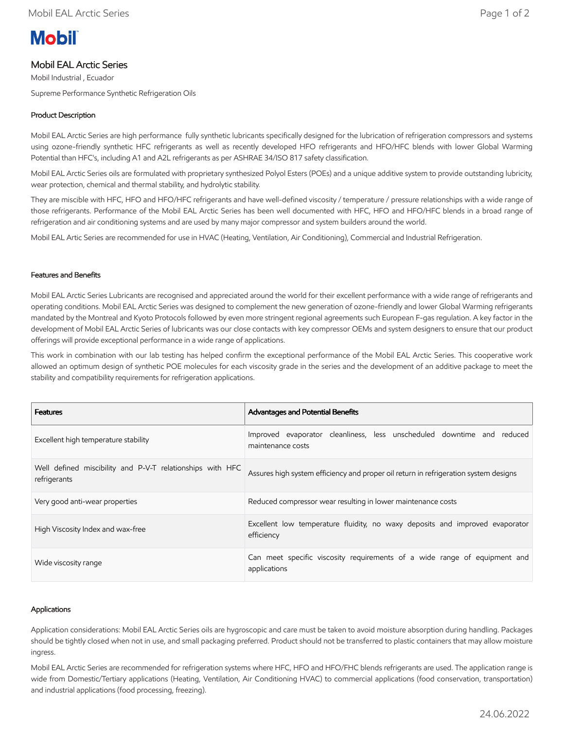# **Mobil**

## Mobil EAL Arctic Series

Mobil Industrial , Ecuador

Supreme Performance Synthetic Refrigeration Oils

## Product Description

Mobil EAL Arctic Series are high performance fully synthetic lubricants specifically designed for the lubrication of refrigeration compressors and systems using ozone-friendly synthetic HFC refrigerants as well as recently developed HFO refrigerants and HFO/HFC blends with lower Global Warming Potential than HFC's, including A1 and A2L refrigerants as per ASHRAE 34/ISO 817 safety classification.

Mobil EAL Arctic Series oils are formulated with proprietary synthesized Polyol Esters (POEs) and a unique additive system to provide outstanding lubricity, wear protection, chemical and thermal stability, and hydrolytic stability.

They are miscible with HFC, HFO and HFO/HFC refrigerants and have well-defined viscosity / temperature / pressure relationships with a wide range of those refrigerants. Performance of the Mobil EAL Arctic Series has been well documented with HFC, HFO and HFO/HFC blends in a broad range of refrigeration and air conditioning systems and are used by many major compressor and system builders around the world.

Mobil EAL Artic Series are recommended for use in HVAC (Heating, Ventilation, Air Conditioning), Commercial and Industrial Refrigeration.

## Features and Benefits

Mobil EAL Arctic Series Lubricants are recognised and appreciated around the world for their excellent performance with a wide range of refrigerants and operating conditions. Mobil EAL Arctic Series was designed to complement the new generation of ozone-friendly and lower Global Warming refrigerants mandated by the Montreal and Kyoto Protocols followed by even more stringent regional agreements such European F-gas regulation. A key factor in the development of Mobil EAL Arctic Series of lubricants was our close contacts with key compressor OEMs and system designers to ensure that our product offerings will provide exceptional performance in a wide range of applications.

This work in combination with our lab testing has helped confirm the exceptional performance of the Mobil EAL Arctic Series. This cooperative work allowed an optimum design of synthetic POE molecules for each viscosity grade in the series and the development of an additive package to meet the stability and compatibility requirements for refrigeration applications.

| <b>Features</b>                                                           | <b>Advantages and Potential Benefits</b>                                                    |  |  |  |  |  |  |
|---------------------------------------------------------------------------|---------------------------------------------------------------------------------------------|--|--|--|--|--|--|
| Excellent high temperature stability                                      | Improved evaporator cleanliness, less unscheduled downtime and reduced<br>maintenance costs |  |  |  |  |  |  |
| Well defined miscibility and P-V-T relationships with HFC<br>refrigerants | Assures high system efficiency and proper oil return in refrigeration system designs        |  |  |  |  |  |  |
| Very good anti-wear properties                                            | Reduced compressor wear resulting in lower maintenance costs                                |  |  |  |  |  |  |
| High Viscosity Index and wax-free                                         | Excellent low temperature fluidity, no waxy deposits and improved evaporator<br>efficiency  |  |  |  |  |  |  |
| Wide viscosity range                                                      | Can meet specific viscosity requirements of a wide range of equipment and<br>applications   |  |  |  |  |  |  |

### Applications

Application considerations: Mobil EAL Arctic Series oils are hygroscopic and care must be taken to avoid moisture absorption during handling. Packages should be tightly closed when not in use, and small packaging preferred. Product should not be transferred to plastic containers that may allow moisture ingress.

Mobil EAL Arctic Series are recommended for refrigeration systems where HFC, HFO and HFO/FHC blends refrigerants are used. The application range is wide from Domestic/Tertiary applications (Heating, Ventilation, Air Conditioning HVAC) to commercial applications (food conservation, transportation) and industrial applications (food processing, freezing).